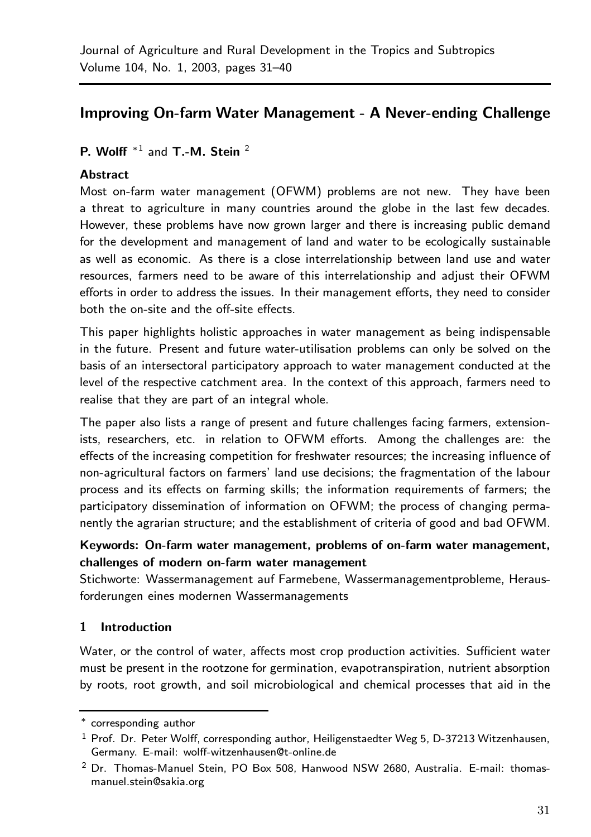# Improving On-farm Water Management - A Never-ending Challenge

P. Wolff<sup>\*1</sup> and T<sub>-</sub>M. Stein<sup>2</sup>

### **Abstract**

Most on-farm water management (OFWM) problems are not new.They have been a threat to agriculture in many countries around the globe in the last few decades. However, these problems have now grown larger and there is increasing public demand for the development and management of land and water to be ecologically sustainable as well as economic.As there is a close interrelationship between land use and water resources, farmers need to be aware of this interrelationship and adjust their OFWM efforts in order to address the issues. In their management efforts, they need to consider both the on-site and the off-site effects.

This paper highlights holistic approaches in water management as being indispensable in the future. Present and future water-utilisation problems can only be solved on the basis of an intersectoral participatory approach to water management conducted at the level of the respective catchment area. In the context of this approach, farmers need to realise that they are part of an integral whole.

The paper also lists a range of present and future challenges facing farmers, extensionists, researchers, etc. in relation to OFWM efforts. Among the challenges are: the effects of the increasing competition for freshwater resources; the increasing influence of non-agricultural factors on farmers' land use decisions; the fragmentation of the labour process and its effects on farming skills; the information requirements of farmers; the participatory dissemination of information on OFWM; the process of changing permanently the agrarian structure; and the establishment of criteria of good and bad OFWM.

### Keywords: On-farm water management, problems of on-farm water management, challenges of modern on-farm water management

Stichworte: Wassermanagement auf Farmebene, Wassermanagementprobleme, Herausforderungen eines modernen Wassermanagements

### 1 Introduction

Water, or the control of water, affects most crop production activities. Sufficient water must be present in the rootzone for germination, evapotranspiration, nutrient absorption by roots, root growth, and soil microbiological and chemical processes that aid in the

<sup>∗</sup> corresponding author

 $1$  Prof. Dr. Peter Wolff, corresponding author, Heiligenstaedter Weg 5, D-37213 Witzenhausen, Germany. E-mail: wolff-witzenhausen@t-online.de

 $2$  Dr. Thomas-Manuel Stein, PO Box 508, Hanwood NSW 2680, Australia. E-mail: thomasmanuel.stein@sakia.org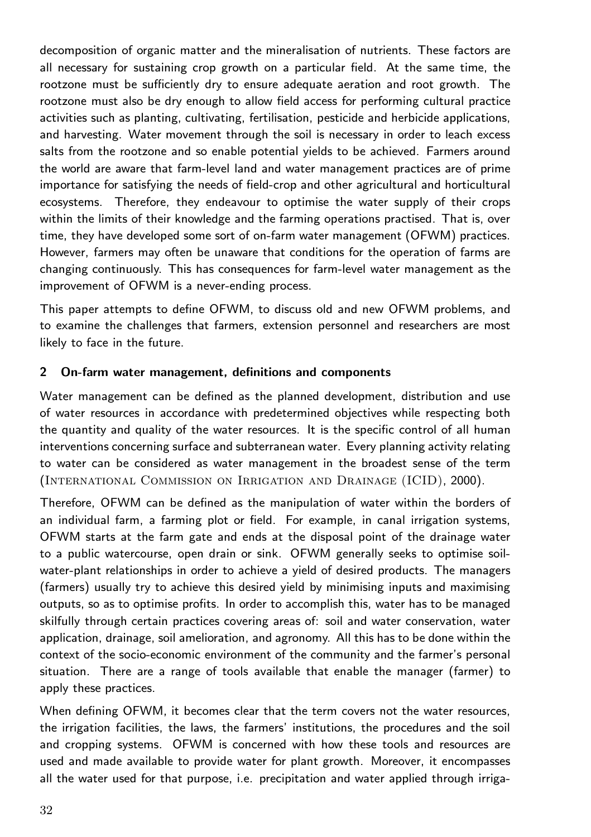decomposition of organic matter and the mineralisation of nutrients. These factors are all necessary for sustaining crop growth on a particular field. At the same time, the rootzone must be sufficiently dry to ensure adequate aeration and root growth.The rootzone must also be dry enough to allow field access for performing cultural practice activities such as planting, cultivating, fertilisation, pesticide and herbicide applications, and harvesting.Water movement through the soil is necessary in order to leach excess salts from the rootzone and so enable potential yields to be achieved. Farmers around the world are aware that farm-level land and water management practices are of prime importance for satisfying the needs of field-crop and other agricultural and horticultural ecosystems.Therefore, they endeavour to optimise the water supply of their crops within the limits of their knowledge and the farming operations practised. That is, over time, they have developed some sort of on-farm water management (OFWM) practices. However, farmers may often be unaware that conditions for the operation of farms are changing continuously.This has consequences for farm-level water management as the improvement of OFWM is a never-ending process.

This paper attempts to define OFWM, to discuss old and new OFWM problems, and to examine the challenges that farmers, extension personnel and researchers are most likely to face in the future.

#### 2 On-farm water management, definitions and components

Water management can be defined as the planned development, distribution and use of water resources in accordance with predetermined objectives while respecting both the quantity and quality of the water resources. It is the specific control of all human interventions concerning surface and subterranean water. Every planning activity relating to water can be considered as water management in the broadest sense of the term (International Commission on Irrigation and Drainage (ICID), 2000).

Therefore, OFWM can be defined as the manipulation of water within the borders of an individual farm, a farming plot or field. For example, in canal irrigation systems, OFWM starts at the farm gate and ends at the disposal point of the drainage water to a public watercourse, open drain or sink.OFWM generally seeks to optimise soilwater-plant relationships in order to achieve a yield of desired products.The managers (farmers) usually try to achieve this desired yield by minimising inputs and maximising outputs, so as to optimise profits. In order to accomplish this, water has to be managed skilfully through certain practices covering areas of: soil and water conservation, water application, drainage, soil amelioration, and agronomy.All this has to be done within the context of the socio-economic environment of the community and the farmer's personal situation. There are a range of tools available that enable the manager (farmer) to apply these practices.

When defining OFWM, it becomes clear that the term covers not the water resources, the irrigation facilities, the laws, the farmers' institutions, the procedures and the soil and cropping systems. OFWM is concerned with how these tools and resources are used and made available to provide water for plant growth. Moreover, it encompasses all the water used for that purpose, i.e. precipitation and water applied through irriga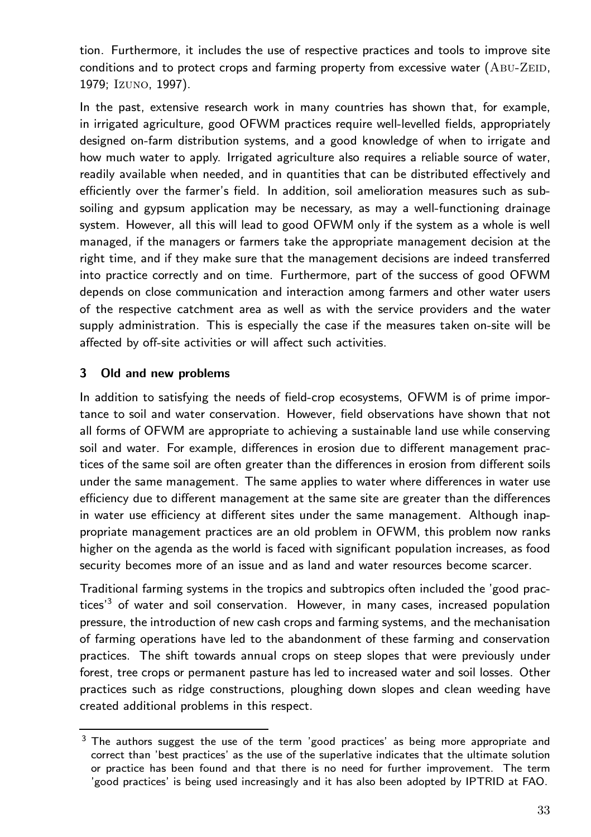tion. Furthermore, it includes the use of respective practices and tools to improve site conditions and to protect crops and farming property from excessive water (ABU-ZEID, 1979; Izuno, 1997).

In the past, extensive research work in many countries has shown that, for example, in irrigated agriculture, good OFWM practices require well-levelled fields, appropriately designed on-farm distribution systems, and a good knowledge of when to irrigate and how much water to apply. Irrigated agriculture also requires a reliable source of water, readily available when needed, and in quantities that can be distributed effectively and efficiently over the farmer's field. In addition, soil amelioration measures such as subsoiling and gypsum application may be necessary, as may a well-functioning drainage system.However, all this will lead to good OFWM only if the system as a whole is well managed, if the managers or farmers take the appropriate management decision at the right time, and if they make sure that the management decisions are indeed transferred into practice correctly and on time. Furthermore, part of the success of good OFWM depends on close communication and interaction among farmers and other water users of the respective catchment area as well as with the service providers and the water supply administration. This is especially the case if the measures taken on-site will be affected by off-site activities or will affect such activities.

### 3 Old and new problems

In addition to satisfying the needs of field-crop ecosystems, OFWM is of prime importance to soil and water conservation. However, field observations have shown that not all forms of OFWM are appropriate to achieving a sustainable land use while conserving soil and water. For example, differences in erosion due to different management practices of the same soil are often greater than the differences in erosion from different soils under the same management. The same applies to water where differences in water use efficiency due to different management at the same site are greater than the differences in water use efficiency at different sites under the same management. Although inappropriate management practices are an old problem in OFWM, this problem now ranks higher on the agenda as the world is faced with significant population increases, as food security becomes more of an issue and as land and water resources become scarcer.

Traditional farming systems in the tropics and subtropics often included the 'good practices<sup> $3$ </sup> of water and soil conservation. However, in many cases, increased population pressure, the introduction of new cash crops and farming systems, and the mechanisation of farming operations have led to the abandonment of these farming and conservation practices.The shift towards annual crops on steep slopes that were previously under forest, tree crops or permanent pasture has led to increased water and soil losses. Other practices such as ridge constructions, ploughing down slopes and clean weeding have created additional problems in this respect.

 $3$  The authors suggest the use of the term 'good practices' as being more appropriate and correct than 'best practices' as the use of the superlative indicates that the ultimate solution or practice has been found and that there is no need for further improvement. The term 'good practices' is being used increasingly and it has also been adopted by IPTRID at FAO.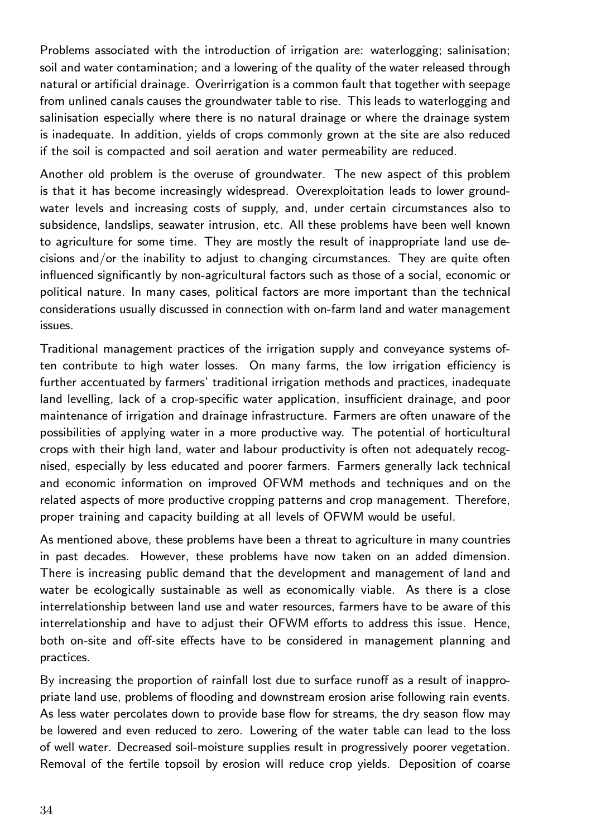Problems associated with the introduction of irrigation are: waterlogging; salinisation; soil and water contamination; and a lowering of the quality of the water released through natural or artificial drainage. Overirrigation is a common fault that together with seepage from unlined canals causes the groundwater table to rise. This leads to waterlogging and salinisation especially where there is no natural drainage or where the drainage system is inadequate. In addition, yields of crops commonly grown at the site are also reduced if the soil is compacted and soil aeration and water permeability are reduced.

Another old problem is the overuse of groundwater. The new aspect of this problem is that it has become increasingly widespread. Overexploitation leads to lower groundwater levels and increasing costs of supply, and, under certain circumstances also to subsidence, landslips, seawater intrusion, etc. All these problems have been well known to agriculture for some time. They are mostly the result of inappropriate land use de $cisions$  and/or the inability to adjust to changing circumstances. They are quite often influenced significantly by non-agricultural factors such as those of a social, economic or political nature. In many cases, political factors are more important than the technical considerations usually discussed in connection with on-farm land and water management issues.

Traditional management practices of the irrigation supply and conveyance systems often contribute to high water losses.On many farms, the low irrigation efficiency is further accentuated by farmers' traditional irrigation methods and practices, inadequate land levelling, lack of a crop-specific water application, insufficient drainage, and poor maintenance of irrigation and drainage infrastructure.Farmers are often unaware of the possibilities of applying water in a more productive way.The potential of horticultural crops with their high land, water and labour productivity is often not adequately recognised, especially by less educated and poorer farmers.Farmers generally lack technical and economic information on improved OFWM methods and techniques and on the related aspects of more productive cropping patterns and crop management. Therefore, proper training and capacity building at all levels of OFWM would be useful.

As mentioned above, these problems have been a threat to agriculture in many countries in past decades. However, these problems have now taken on an added dimension. There is increasing public demand that the development and management of land and water be ecologically sustainable as well as economically viable. As there is a close interrelationship between land use and water resources, farmers have to be aware of this interrelationship and have to adjust their OFWM efforts to address this issue. Hence, both on-site and off-site effects have to be considered in management planning and practices.

By increasing the proportion of rainfall lost due to surface runoff as a result of inappropriate land use, problems of flooding and downstream erosion arise following rain events. As less water percolates down to provide base flow for streams, the dry season flow may be lowered and even reduced to zero. Lowering of the water table can lead to the loss of well water. Decreased soil-moisture supplies result in progressively poorer vegetation. Removal of the fertile topsoil by erosion will reduce crop yields. Deposition of coarse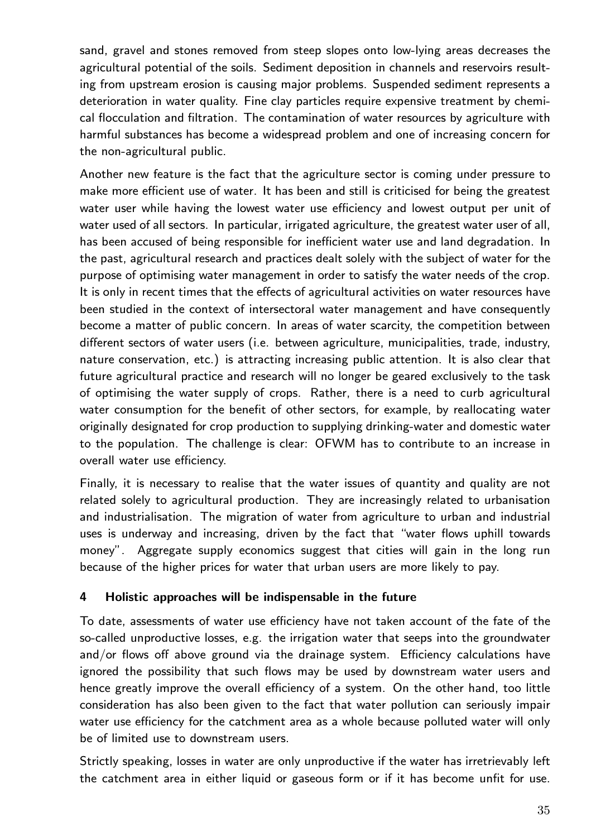sand, gravel and stones removed from steep slopes onto low-lying areas decreases the agricultural potential of the soils. Sediment deposition in channels and reservoirs resulting from upstream erosion is causing major problems. Suspended sediment represents a deterioration in water quality. Fine clay particles require expensive treatment by chemical flocculation and filtration. The contamination of water resources by agriculture with harmful substances has become a widespread problem and one of increasing concern for the non-agricultural public.

Another new feature is the fact that the agriculture sector is coming under pressure to make more efficient use of water. It has been and still is criticised for being the greatest water user while having the lowest water use efficiency and lowest output per unit of water used of all sectors. In particular, irrigated agriculture, the greatest water user of all, has been accused of being responsible for inefficient water use and land degradation. In the past, agricultural research and practices dealt solely with the subject of water for the purpose of optimising water management in order to satisfy the water needs of the crop. It is only in recent times that the effects of agricultural activities on water resources have been studied in the context of intersectoral water management and have consequently become a matter of public concern. In areas of water scarcity, the competition between different sectors of water users (i.e. between agriculture, municipalities, trade, industry, nature conservation, etc.) is attracting increasing public attention. It is also clear that future agricultural practice and research will no longer be geared exclusively to the task of optimising the water supply of crops.Rather, there is a need to curb agricultural water consumption for the benefit of other sectors, for example, by reallocating water originally designated for crop production to supplying drinking-water and domestic water to the population.The challenge is clear: OFWM has to contribute to an increase in overall water use efficiency.

Finally, it is necessary to realise that the water issues of quantity and quality are not related solely to agricultural production.They are increasingly related to urbanisation and industrialisation.The migration of water from agriculture to urban and industrial uses is underway and increasing, driven by the fact that "water flows uphill towards money". Aggregate supply economics suggest that cities will gain in the long run because of the higher prices for water that urban users are more likely to pay.

#### 4 Holistic approaches will be indispensable in the future

To date, assessments of water use efficiency have not taken account of the fate of the so-called unproductive losses, e.g. the irrigation water that seeps into the groundwater and/or flows off above ground via the drainage system. Efficiency calculations have ignored the possibility that such flows may be used by downstream water users and hence greatly improve the overall efficiency of a system. On the other hand, too little consideration has also been given to the fact that water pollution can seriously impair water use efficiency for the catchment area as a whole because polluted water will only be of limited use to downstream users.

Strictly speaking, losses in water are only unproductive if the water has irretrievably left the catchment area in either liquid or gaseous form or if it has become unfit for use.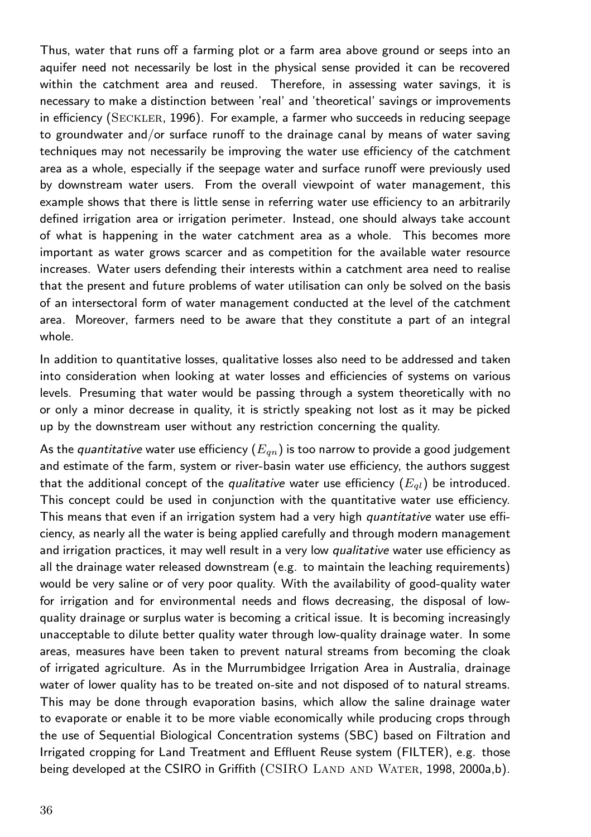Thus, water that runs off a farming plot or a farm area above ground or seeps into an aquifer need not necessarily be lost in the physical sense provided it can be recovered within the catchment area and reused. Therefore, in assessing water savings, it is necessary to make a distinction between 'real' and 'theoretical' savings or improvements in efficiency (SECKLER, 1996). For example, a farmer who succeeds in reducing seepage to groundwater and/or surface runoff to the drainage canal by means of water saving techniques may not necessarily be improving the water use efficiency of the catchment area as a whole, especially if the seepage water and surface runoff were previously used by downstream water users. From the overall viewpoint of water management, this example shows that there is little sense in referring water use efficiency to an arbitrarily defined irrigation area or irrigation perimeter. Instead, one should always take account of what is happening in the water catchment area as a whole.This becomes more important as water grows scarcer and as competition for the available water resource increases.Water users defending their interests within a catchment area need to realise that the present and future problems of water utilisation can only be solved on the basis of an intersectoral form of water management conducted at the level of the catchment area.Moreover, farmers need to be aware that they constitute a part of an integral whole.

In addition to quantitative losses, qualitative losses also need to be addressed and taken into consideration when looking at water losses and efficiencies of systems on various levels. Presuming that water would be passing through a system theoretically with no or only a minor decrease in quality, it is strictly speaking not lost as it may be picked up by the downstream user without any restriction concerning the quality.

As the quantitative water use efficiency  $(E_{qn})$  is too narrow to provide a good judgement and estimate of the farm, system or river-basin water use efficiency, the authors suggest that the additional concept of the *qualitative* water use efficiency  $(E_{ql})$  be introduced. This concept could be used in conjunction with the quantitative water use efficiency. This means that even if an irrigation system had a very high *quantitative* water use efficiency, as nearly all the water is being applied carefully and through modern management and irrigation practices, it may well result in a very low qualitative water use efficiency as all the drainage water released downstream (e.g. to maintain the leaching requirements) would be very saline or of very poor quality. With the availability of good-quality water for irrigation and for environmental needs and flows decreasing, the disposal of lowquality drainage or surplus water is becoming a critical issue.It is becoming increasingly unacceptable to dilute better quality water through low-quality drainage water. In some areas, measures have been taken to prevent natural streams from becoming the cloak of irrigated agriculture. As in the Murrumbidgee Irrigation Area in Australia, drainage water of lower quality has to be treated on-site and not disposed of to natural streams. This may be done through evaporation basins, which allow the saline drainage water to evaporate or enable it to be more viable economically while producing crops through the use of Sequential Biological Concentration systems (SBC) based on Filtration and Irrigated cropping for Land Treatment and Effluent Reuse system (FILTER), e.g. those being developed at the CSIRO in Griffith (CSIRO LAND AND WATER, 1998, 2000a,b).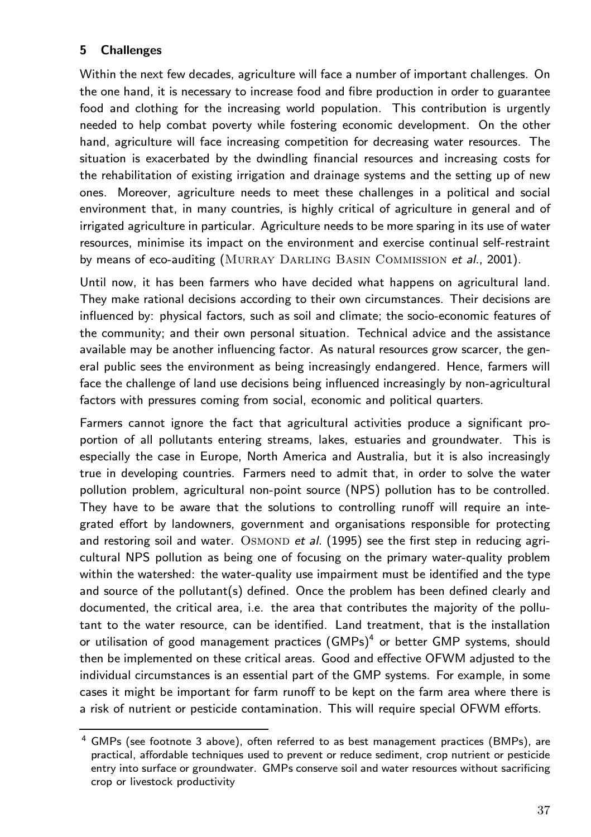## 5 Challenges

Within the next few decades, agriculture will face a number of important challenges. On the one hand, it is necessary to increase food and fibre production in order to guarantee food and clothing for the increasing world population. This contribution is urgently needed to help combat poverty while fostering economic development. On the other hand, agriculture will face increasing competition for decreasing water resources. The situation is exacerbated by the dwindling financial resources and increasing costs for the rehabilitation of existing irrigation and drainage systems and the setting up of new ones.Moreover, agriculture needs to meet these challenges in a political and social environment that, in many countries, is highly critical of agriculture in general and of irrigated agriculture in particular. Agriculture needs to be more sparing in its use of water resources, minimise its impact on the environment and exercise continual self-restraint by means of eco-auditing (MURRAY DARLING BASIN COMMISSION et al., 2001).

Until now, it has been farmers who have decided what happens on agricultural land. They make rational decisions according to their own circumstances.Their decisions are influenced by: physical factors, such as soil and climate; the socio-economic features of the community; and their own personal situation.Technical advice and the assistance available may be another influencing factor. As natural resources grow scarcer, the general public sees the environment as being increasingly endangered. Hence, farmers will face the challenge of land use decisions being influenced increasingly by non-agricultural factors with pressures coming from social, economic and political quarters.

Farmers cannot ignore the fact that agricultural activities produce a significant proportion of all pollutants entering streams, lakes, estuaries and groundwater.This is especially the case in Europe, North America and Australia, but it is also increasingly true in developing countries. Farmers need to admit that, in order to solve the water pollution problem, agricultural non-point source (NPS) pollution has to be controlled. They have to be aware that the solutions to controlling runoff will require an integrated effort by landowners, government and organisations responsible for protecting and restoring soil and water.  $OSMOND$  et al. (1995) see the first step in reducing agricultural NPS pollution as being one of focusing on the primary water-quality problem within the watershed: the water-quality use impairment must be identified and the type and source of the pollutant(s) defined. Once the problem has been defined clearly and documented, the critical area, i.e. the area that contributes the majority of the pollutant to the water resource, can be identified. Land treatment, that is the installation or utilisation of good management practices  $(GMPs)^4$  or better  $GMP$  systems, should then be implemented on these critical areas.Good and effective OFWM adjusted to the individual circumstances is an essential part of the GMP systems. For example, in some cases it might be important for farm runoff to be kept on the farm area where there is a risk of nutrient or pesticide contamination.This will require special OFWM efforts.

 $4$  GMPs (see footnote 3 above), often referred to as best management practices (BMPs), are practical, affordable techniques used to prevent or reduce sediment, crop nutrient or pesticide entry into surface or groundwater. GMPs conserve soil and water resources without sacrificing crop or livestock productivity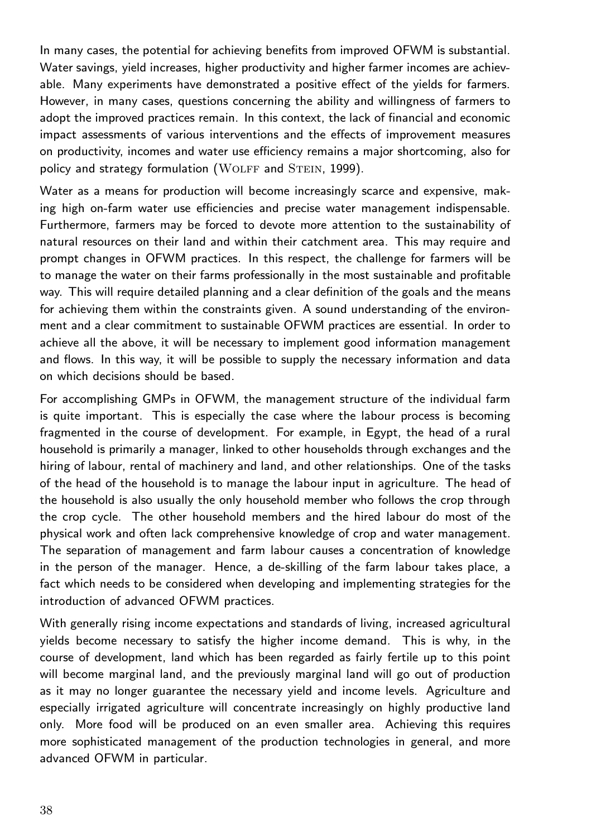In many cases, the potential for achieving benefits from improved OFWM is substantial. Water savings, yield increases, higher productivity and higher farmer incomes are achievable. Many experiments have demonstrated a positive effect of the yields for farmers. However, in many cases, questions concerning the ability and willingness of farmers to adopt the improved practices remain. In this context, the lack of financial and economic impact assessments of various interventions and the effects of improvement measures on productivity, incomes and water use efficiency remains a major shortcoming, also for policy and strategy formulation (WOLFF and STEIN, 1999).

Water as a means for production will become increasingly scarce and expensive, making high on-farm water use efficiencies and precise water management indispensable. Furthermore, farmers may be forced to devote more attention to the sustainability of natural resources on their land and within their catchment area.This may require and prompt changes in OFWM practices. In this respect, the challenge for farmers will be to manage the water on their farms professionally in the most sustainable and profitable way.This will require detailed planning and a clear definition of the goals and the means for achieving them within the constraints given. A sound understanding of the environment and a clear commitment to sustainable OFWM practices are essential. In order to achieve all the above, it will be necessary to implement good information management and flows. In this way, it will be possible to supply the necessary information and data on which decisions should be based.

For accomplishing GMPs in OFWM, the management structure of the individual farm is quite important. This is especially the case where the labour process is becoming fragmented in the course of development. For example, in Egypt, the head of a rural household is primarily a manager, linked to other households through exchanges and the hiring of labour, rental of machinery and land, and other relationships. One of the tasks of the head of the household is to manage the labour input in agriculture.The head of the household is also usually the only household member who follows the crop through the crop cycle. The other household members and the hired labour do most of the physical work and often lack comprehensive knowledge of crop and water management. The separation of management and farm labour causes a concentration of knowledge in the person of the manager. Hence, a de-skilling of the farm labour takes place, a fact which needs to be considered when developing and implementing strategies for the introduction of advanced OFWM practices.

With generally rising income expectations and standards of living, increased agricultural yields become necessary to satisfy the higher income demand.This is why, in the course of development, land which has been regarded as fairly fertile up to this point will become marginal land, and the previously marginal land will go out of production as it may no longer guarantee the necessary yield and income levels. Agriculture and especially irrigated agriculture will concentrate increasingly on highly productive land only.More food will be produced on an even smaller area.Achieving this requires more sophisticated management of the production technologies in general, and more advanced OFWM in particular.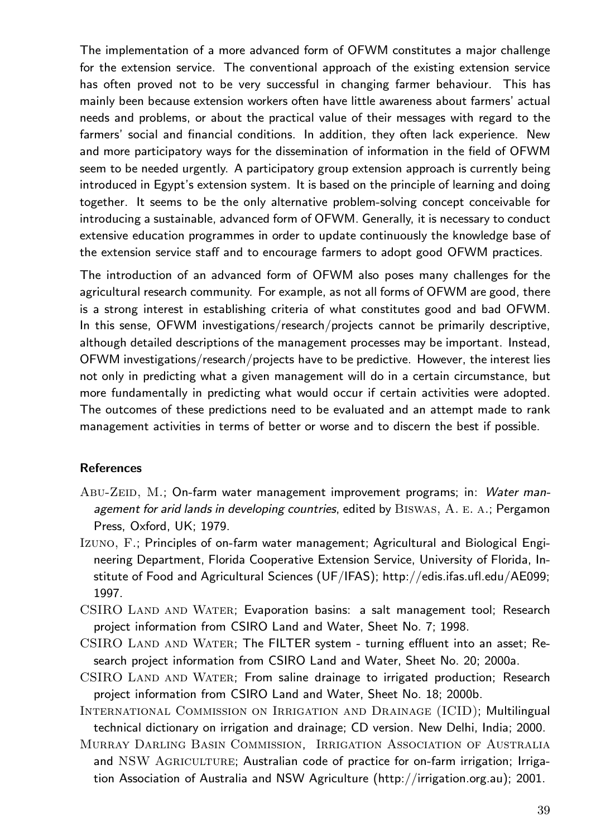The implementation of a more advanced form of OFWM constitutes a major challenge for the extension service. The conventional approach of the existing extension service has often proved not to be very successful in changing farmer behaviour. This has mainly been because extension workers often have little awareness about farmers' actual needs and problems, or about the practical value of their messages with regard to the farmers' social and financial conditions. In addition, they often lack experience. New and more participatory ways for the dissemination of information in the field of OFWM seem to be needed urgently. A participatory group extension approach is currently being introduced in Egypt's extension system. It is based on the principle of learning and doing together. It seems to be the only alternative problem-solving concept conceivable for introducing a sustainable, advanced form of OFWM. Generally, it is necessary to conduct extensive education programmes in order to update continuously the knowledge base of the extension service staff and to encourage farmers to adopt good OFWM practices.

The introduction of an advanced form of OFWM also poses many challenges for the agricultural research community. For example, as not all forms of OFWM are good, there is a strong interest in establishing criteria of what constitutes good and bad OFWM. In this sense, OFWM investigations/research/projects cannot be primarily descriptive, although detailed descriptions of the management processes may be important. Instead, OFWM investigations/research/projects have to be predictive.However, the interest lies not only in predicting what a given management will do in a certain circumstance, but more fundamentally in predicting what would occur if certain activities were adopted. The outcomes of these predictions need to be evaluated and an attempt made to rank management activities in terms of better or worse and to discern the best if possible.

#### References

- Abu-Zeid, M.; On-farm water management improvement programs; in: Water management for arid lands in developing countries, edited by  $BISWAS$ ,  $A. E. A.$ ; Pergamon Press, Oxford, UK; 1979.
- Izuno, F.; Principles of on-farm water management; Agricultural and Biological Engineering Department, Florida Cooperative Extension Service, University of Florida, Institute of Food and Agricultural Sciences (UF/IFAS); http://edis.ifas.ufl.edu/AE099; 1997.
- CSIRO LAND AND WATER; Evaporation basins: a salt management tool; Research project information from CSIRO Land and Water, Sheet No.7; 1998.
- CSIRO LAND AND WATER; The FILTER system turning effluent into an asset; Research project information from CSIRO Land and Water, Sheet No.20; 2000a.
- CSIRO LAND AND WATER; From saline drainage to irrigated production; Research project information from CSIRO Land and Water, Sheet No.18; 2000b.

International Commission on Irrigation and Drainage (ICID); Multilingual technical dictionary on irrigation and drainage; CD version. New Delhi, India; 2000.

Murray Darling Basin Commission, Irrigation Association of Australia and NSW AGRICULTURE; Australian code of practice for on-farm irrigation; Irrigation Association of Australia and NSW Agriculture (http://irrigation.org.au); 2001.